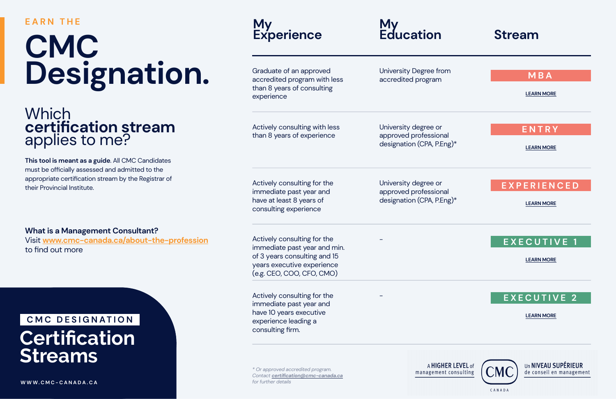#### **EARN THE**

## **CMC Designation.**

accredited program

University degree or approved professional designation (CPA, P.Eng)\*

University degree or approved professional designation (CPA, P.Eng)\*

-

-

### Which **certification stream** applies to me?

**This tool is meant as a guide**. All CMC Candidates must be officially assessed and admitted to the appropriate certification stream by the Registrar of their Provincial Institute.



CANADA

#### **What is a Management Consultant?**

Visit **www.cmc-canada.ca/about-the-profession** to find out more

> *\* Or approved accredited program. Contact certification@cmc-canada.ca for further details*

A HIGHER LEVEL of management consulting



**W W W.CMC-C [ANADA.CA](https://www.cmc-canada.ca/)**

#### **My Experience**

Graduate of an approved accredited program with less than 8 years of consulting experience

Actively consulting with less than 8 years of experience

Actively consulting for the immediate past year and have at least 8 years of consulting experience

Actively consulting for the immediate past year and min. of 3 years consulting and 15 years executive experience (e.g. CEO, COO, CFO, CMO)

Actively consulting for the immediate past year and have 10 years executive experience leading a consulting firm.